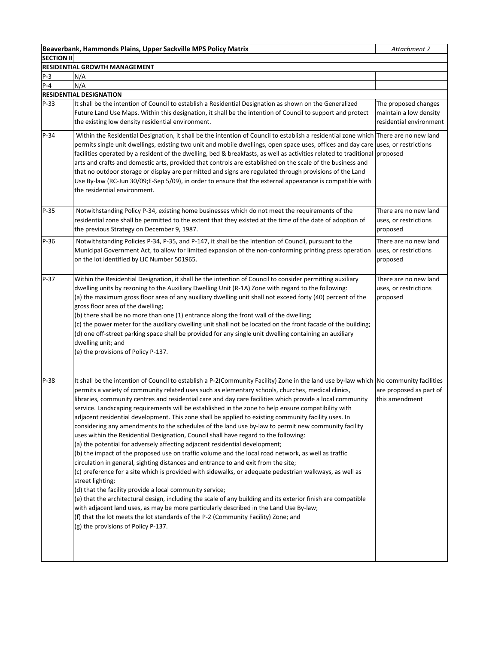|                                      | Beaverbank, Hammonds Plains, Upper Sackville MPS Policy Matrix                                                                                                                                                                                                                                                                                                                                                                                                                                                                                                                                                                                                                                                                                                                                                                                                                                                                                                                                                                                                                                                                                                                                                                                                                                                                                                                                                                                                                                                                                                                        | Attachment 7                                                              |  |
|--------------------------------------|---------------------------------------------------------------------------------------------------------------------------------------------------------------------------------------------------------------------------------------------------------------------------------------------------------------------------------------------------------------------------------------------------------------------------------------------------------------------------------------------------------------------------------------------------------------------------------------------------------------------------------------------------------------------------------------------------------------------------------------------------------------------------------------------------------------------------------------------------------------------------------------------------------------------------------------------------------------------------------------------------------------------------------------------------------------------------------------------------------------------------------------------------------------------------------------------------------------------------------------------------------------------------------------------------------------------------------------------------------------------------------------------------------------------------------------------------------------------------------------------------------------------------------------------------------------------------------------|---------------------------------------------------------------------------|--|
| <b>SECTION II</b>                    |                                                                                                                                                                                                                                                                                                                                                                                                                                                                                                                                                                                                                                                                                                                                                                                                                                                                                                                                                                                                                                                                                                                                                                                                                                                                                                                                                                                                                                                                                                                                                                                       |                                                                           |  |
| <b>RESIDENTIAL GROWTH MANAGEMENT</b> |                                                                                                                                                                                                                                                                                                                                                                                                                                                                                                                                                                                                                                                                                                                                                                                                                                                                                                                                                                                                                                                                                                                                                                                                                                                                                                                                                                                                                                                                                                                                                                                       |                                                                           |  |
| $P-3$                                | N/A                                                                                                                                                                                                                                                                                                                                                                                                                                                                                                                                                                                                                                                                                                                                                                                                                                                                                                                                                                                                                                                                                                                                                                                                                                                                                                                                                                                                                                                                                                                                                                                   |                                                                           |  |
| $P-4$                                | N/A                                                                                                                                                                                                                                                                                                                                                                                                                                                                                                                                                                                                                                                                                                                                                                                                                                                                                                                                                                                                                                                                                                                                                                                                                                                                                                                                                                                                                                                                                                                                                                                   |                                                                           |  |
|                                      | <b>RESIDENTIAL DESIGNATION</b>                                                                                                                                                                                                                                                                                                                                                                                                                                                                                                                                                                                                                                                                                                                                                                                                                                                                                                                                                                                                                                                                                                                                                                                                                                                                                                                                                                                                                                                                                                                                                        |                                                                           |  |
| $P-33$                               | It shall be the intention of Council to establish a Residential Designation as shown on the Generalized<br>Future Land Use Maps. Within this designation, it shall be the intention of Council to support and protect<br>the existing low density residential environment.                                                                                                                                                                                                                                                                                                                                                                                                                                                                                                                                                                                                                                                                                                                                                                                                                                                                                                                                                                                                                                                                                                                                                                                                                                                                                                            | The proposed changes<br>maintain a low density<br>residential environment |  |
| P-34                                 | Within the Residential Designation, it shall be the intention of Council to establish a residential zone which There are no new land<br>permits single unit dwellings, existing two unit and mobile dwellings, open space uses, offices and day care uses, or restrictions<br>facilities operated by a resident of the dwelling, bed & breakfasts, as well as activities related to traditional proposed<br>arts and crafts and domestic arts, provided that controls are established on the scale of the business and<br>that no outdoor storage or display are permitted and signs are regulated through provisions of the Land<br>Use By-law (RC-Jun 30/09;E-Sep 5/09), in order to ensure that the external appearance is compatible with<br>the residential environment.                                                                                                                                                                                                                                                                                                                                                                                                                                                                                                                                                                                                                                                                                                                                                                                                         |                                                                           |  |
| $P-35$                               | Notwithstanding Policy P-34, existing home businesses which do not meet the requirements of the<br>residential zone shall be permitted to the extent that they existed at the time of the date of adoption of<br>the previous Strategy on December 9, 1987.                                                                                                                                                                                                                                                                                                                                                                                                                                                                                                                                                                                                                                                                                                                                                                                                                                                                                                                                                                                                                                                                                                                                                                                                                                                                                                                           | There are no new land<br>uses, or restrictions<br>proposed                |  |
| $P-36$                               | Notwithstanding Policies P-34, P-35, and P-147, it shall be the intention of Council, pursuant to the<br>Municipal Government Act, to allow for limited expansion of the non-conforming printing press operation<br>on the lot identified by LIC Number 501965.                                                                                                                                                                                                                                                                                                                                                                                                                                                                                                                                                                                                                                                                                                                                                                                                                                                                                                                                                                                                                                                                                                                                                                                                                                                                                                                       | There are no new land<br>uses, or restrictions<br>proposed                |  |
| $P-37$                               | Within the Residential Designation, it shall be the intention of Council to consider permitting auxiliary<br>dwelling units by rezoning to the Auxiliary Dwelling Unit (R-1A) Zone with regard to the following:<br>(a) the maximum gross floor area of any auxiliary dwelling unit shall not exceed forty (40) percent of the<br>gross floor area of the dwelling;<br>(b) there shall be no more than one (1) entrance along the front wall of the dwelling;<br>(c) the power meter for the auxiliary dwelling unit shall not be located on the front facade of the building;<br>(d) one off-street parking space shall be provided for any single unit dwelling containing an auxiliary<br>dwelling unit; and<br>(e) the provisions of Policy P-137.                                                                                                                                                                                                                                                                                                                                                                                                                                                                                                                                                                                                                                                                                                                                                                                                                                | There are no new land<br>uses, or restrictions<br>proposed                |  |
| P-38                                 | It shall be the intention of Council to establish a P-2(Community Facility) Zone in the land use by-law which No community facilities<br>permits a variety of community related uses such as elementary schools, churches, medical clinics,<br>libraries, community centres and residential care and day care facilities which provide a local community<br>service. Landscaping requirements will be established in the zone to help ensure compatibility with<br>adjacent residential development. This zone shall be applied to existing community facility uses. In<br>considering any amendments to the schedules of the land use by-law to permit new community facility<br>uses within the Residential Designation, Council shall have regard to the following:<br>(a) the potential for adversely affecting adjacent residential development;<br>(b) the impact of the proposed use on traffic volume and the local road network, as well as traffic<br>circulation in general, sighting distances and entrance to and exit from the site;<br>(c) preference for a site which is provided with sidewalks, or adequate pedestrian walkways, as well as<br>street lighting;<br>(d) that the facility provide a local community service;<br>(e) that the architectural design, including the scale of any building and its exterior finish are compatible<br>with adjacent land uses, as may be more particularly described in the Land Use By-law;<br>(f) that the lot meets the lot standards of the P-2 (Community Facility) Zone; and<br>(g) the provisions of Policy P-137. | are proposed as part of<br>this amendment                                 |  |